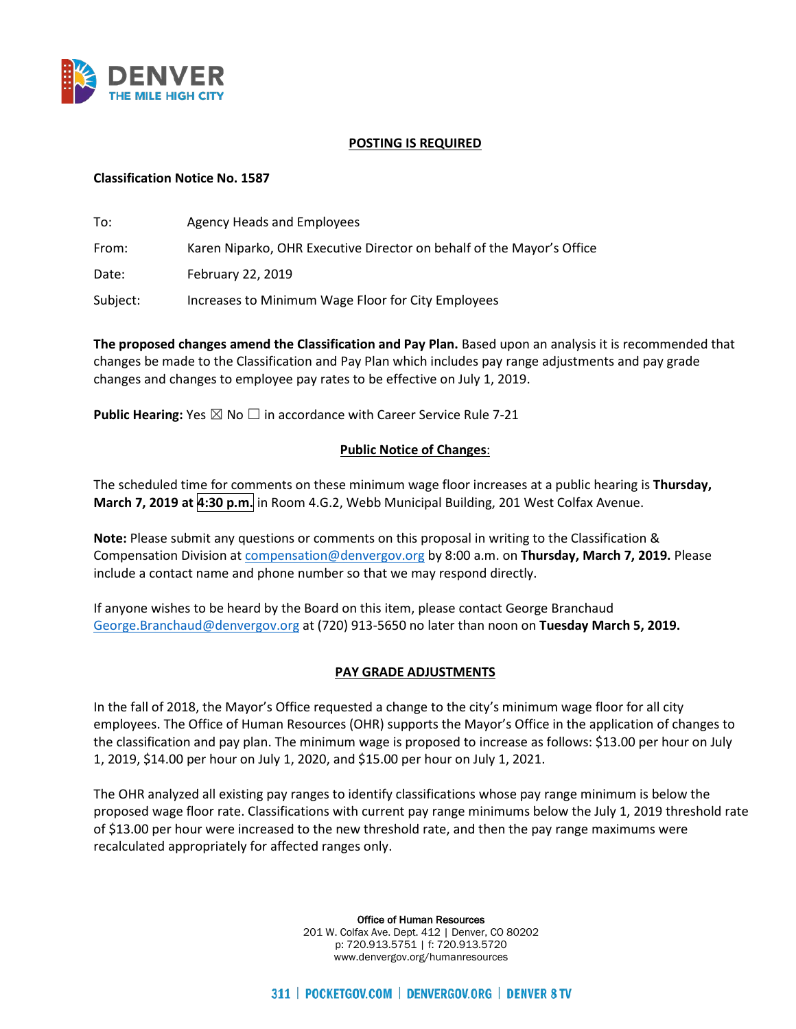

### **POSTING IS REQUIRED**

# **Classification Notice No. 1587**

| To:      | Agency Heads and Employees                                            |
|----------|-----------------------------------------------------------------------|
| From:    | Karen Niparko, OHR Executive Director on behalf of the Mayor's Office |
| Date:    | February 22, 2019                                                     |
| Subject: | Increases to Minimum Wage Floor for City Employees                    |

**The proposed changes amend the Classification and Pay Plan.** Based upon an analysis it is recommended that changes be made to the Classification and Pay Plan which includes pay range adjustments and pay grade changes and changes to employee pay rates to be effective on July 1, 2019.

**Public Hearing:** Yes ⊠ No □ in accordance with Career Service Rule 7-21

## **Public Notice of Changes**:

The scheduled time for comments on these minimum wage floor increases at a public hearing is **Thursday, March 7, 2019 at 4:30 p.m.** in Room 4.G.2, Webb Municipal Building, 201 West Colfax Avenue.

**Note:** Please submit any questions or comments on this proposal in writing to the Classification & Compensation Division a[t compensation@denvergov.org](mailto:compensation@denvergov.org) by 8:00 a.m. on **Thursday, March 7, 2019.** Please include a contact name and phone number so that we may respond directly.

If anyone wishes to be heard by the Board on this item, please contact George Branchaud [George.Branchaud@denvergov.org](mailto:George.Branchaud@denvergov.org) at (720) 913-5650 no later than noon on **Tuesday March 5, 2019.**

#### **PAY GRADE ADJUSTMENTS**

In the fall of 2018, the Mayor's Office requested a change to the city's minimum wage floor for all city employees. The Office of Human Resources (OHR) supports the Mayor's Office in the application of changes to the classification and pay plan. The minimum wage is proposed to increase as follows: \$13.00 per hour on July 1, 2019, \$14.00 per hour on July 1, 2020, and \$15.00 per hour on July 1, 2021.

The OHR analyzed all existing pay ranges to identify classifications whose pay range minimum is below the proposed wage floor rate. Classifications with current pay range minimums below the July 1, 2019 threshold rate of \$13.00 per hour were increased to the new threshold rate, and then the pay range maximums were recalculated appropriately for affected ranges only.

> Office of Human Resources 201 W. Colfax Ave. Dept. 412 | Denver, CO 80202 p: 720.913.5751 | f: 720.913.5720 www.denvergov.org/humanresources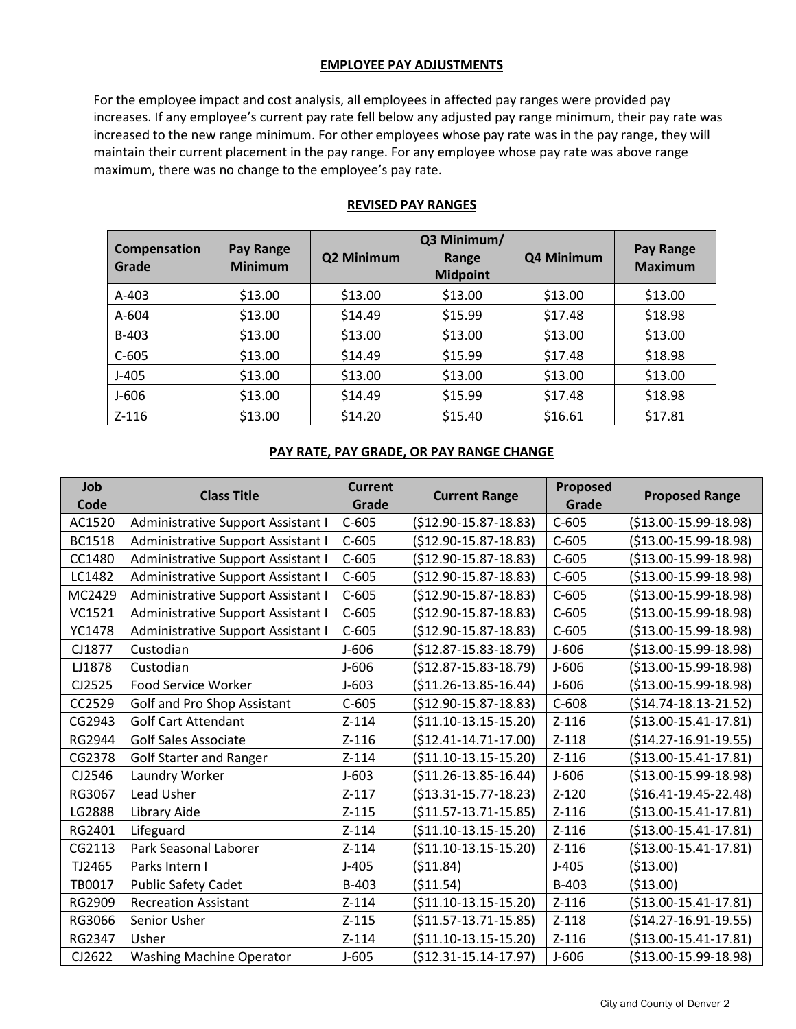## **EMPLOYEE PAY ADJUSTMENTS**

For the employee impact and cost analysis, all employees in affected pay ranges were provided pay increases. If any employee's current pay rate fell below any adjusted pay range minimum, their pay rate was increased to the new range minimum. For other employees whose pay rate was in the pay range, they will maintain their current placement in the pay range. For any employee whose pay rate was above range maximum, there was no change to the employee's pay rate.

| Compensation<br>Grade | <b>Pay Range</b><br><b>Minimum</b> | Q2 Minimum | Q3 Minimum/<br>Range<br><b>Midpoint</b> | Q4 Minimum | <b>Pay Range</b><br><b>Maximum</b> |
|-----------------------|------------------------------------|------------|-----------------------------------------|------------|------------------------------------|
| $A-403$               | \$13.00                            | \$13.00    | \$13.00                                 | \$13.00    | \$13.00                            |
| A-604                 | \$13.00                            | \$14.49    | \$15.99                                 | \$17.48    | \$18.98                            |
| B-403                 | \$13.00                            | \$13.00    | \$13.00                                 | \$13.00    | \$13.00                            |
| $C-605$               | \$13.00                            | \$14.49    | \$15.99                                 | \$17.48    | \$18.98                            |
| $J-405$               | \$13.00                            | \$13.00    | \$13.00                                 | \$13.00    | \$13.00                            |
| $J-606$               | \$13.00                            | \$14.49    | \$15.99                                 | \$17.48    | \$18.98                            |
| $Z - 116$             | \$13.00                            | \$14.20    | \$15.40                                 | \$16.61    | \$17.81                            |

#### **REVISED PAY RANGES**

# **PAY RATE, PAY GRADE, OR PAY RANGE CHANGE**

| Job<br>Code   | <b>Class Title</b>                        | <b>Current</b><br>Grade | <b>Current Range</b>        | Proposed<br>Grade | <b>Proposed Range</b>      |
|---------------|-------------------------------------------|-------------------------|-----------------------------|-------------------|----------------------------|
| AC1520        | Administrative Support Assistant I        | $C-605$                 | $($12.90-15.87-18.83)$      | $C-605$           | $($13.00-15.99-18.98)$     |
| <b>BC1518</b> | Administrative Support Assistant I        | $C-605$                 | $($12.90-15.87-18.83)$      | $C-605$           | $($13.00-15.99-18.98)$     |
| CC1480        | Administrative Support Assistant I        | $C-605$                 | $($12.90-15.87-18.83)$      | $C-605$           | $($13.00-15.99-18.98)$     |
| LC1482        | <b>Administrative Support Assistant I</b> | $C-605$                 | $(512.90 - 15.87 - 18.83)$  | $C-605$           | $( $13.00-15.99-18.98)$    |
| MC2429        | Administrative Support Assistant I        | $C-605$                 | $($12.90-15.87-18.83)$      | $C-605$           | $($13.00-15.99-18.98)$     |
| VC1521        | Administrative Support Assistant I        | $C-605$                 | $($12.90-15.87-18.83)$      | $C-605$           | $($13.00-15.99-18.98)$     |
| YC1478        | Administrative Support Assistant I        | $C-605$                 | $($12.90-15.87-18.83)$      | $C-605$           | $( $13.00-15.99-18.98)$    |
| CJ1877        | Custodian                                 | $J-606$                 | $($12.87-15.83-18.79)$      | $J-606$           | $($13.00-15.99-18.98)$     |
| LJ1878        | Custodian                                 | $J-606$                 | $($12.87-15.83-18.79)$      | $J-606$           | $($13.00-15.99-18.98)$     |
| CJ2525        | Food Service Worker                       | $J - 603$               | $($11.26-13.85-16.44)$      | $J-606$           | $($13.00-15.99-18.98)$     |
| CC2529        | Golf and Pro Shop Assistant               | $C-605$                 | $(512.90 - 15.87 - 18.83)$  | $C-608$           | $($14.74-18.13-21.52)$     |
| CG2943        | <b>Golf Cart Attendant</b>                | $Z - 114$               | $( $11.10-13.15-15.20)$     | $Z-116$           | $( $13.00-15.41-17.81)$    |
| RG2944        | <b>Golf Sales Associate</b>               | $Z-116$                 | $($12.41-14.71-17.00)$      | $Z-118$           | $($14.27-16.91-19.55)$     |
| CG2378        | <b>Golf Starter and Ranger</b>            | $Z - 114$               | $( $11.10-13.15-15.20)$     | $Z-116$           | $($13.00-15.41-17.81)$     |
| CJ2546        | Laundry Worker                            | $J - 603$               | $( $11.26 - 13.85 - 16.44)$ | $J-606$           | $($13.00-15.99-18.98)$     |
| RG3067        | Lead Usher                                | $Z-117$                 | $( $13.31 - 15.77 - 18.23)$ | $Z - 120$         | $($16.41-19.45-22.48)$     |
| LG2888        | Library Aide                              | $Z-115$                 | $(511.57-13.71-15.85)$      | $Z-116$           | $($13.00-15.41-17.81)$     |
| RG2401        | Lifeguard                                 | $Z - 114$               | $( $11.10-13.15-15.20)$     | $Z-116$           | $($13.00-15.41-17.81)$     |
| CG2113        | Park Seasonal Laborer                     | $Z - 114$               | $( $11.10-13.15-15.20)$     | $Z-116$           | $($13.00-15.41-17.81)$     |
| TJ2465        | Parks Intern I                            | $J-405$                 | (511.84)                    | $J-405$           | (513.00)                   |
| TB0017        | <b>Public Safety Cadet</b>                | B-403                   | ( \$11.54)                  | B-403             | (513.00)                   |
| RG2909        | <b>Recreation Assistant</b>               | $Z - 114$               | $($11.10-13.15-15.20)$      | $Z-116$           | $($13.00-15.41-17.81)$     |
| RG3066        | Senior Usher                              | $Z-115$                 | $( $11.57-13.71-15.85)$     | $Z-118$           | $(514.27 - 16.91 - 19.55)$ |
| RG2347        | Usher                                     | $Z - 114$               | $( $11.10-13.15-15.20)$     | $Z-116$           | $( $13.00-15.41-17.81)$    |
| CJ2622        | <b>Washing Machine Operator</b>           | $J-605$                 | $($12.31-15.14-17.97)$      | $J-606$           | $($13.00-15.99-18.98)$     |